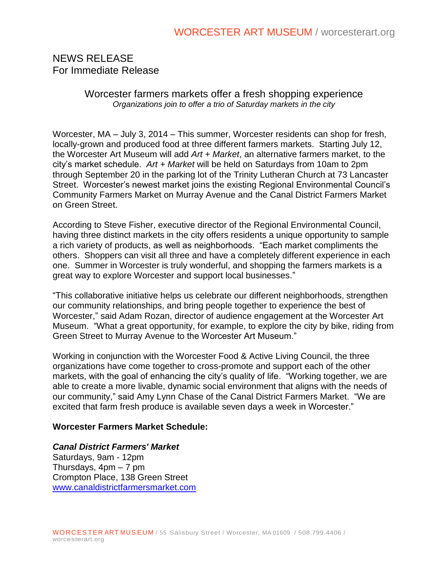# NEWS RELEASE For Immediate Release

#### Worcester farmers markets offer a fresh shopping experience *Organizations join to offer a trio of Saturday markets in the city*

Worcester, MA – July 3, 2014 – This summer, Worcester residents can shop for fresh, locally-grown and produced food at three different farmers markets. Starting July 12, the Worcester Art Museum will add *Art + Market*, an alternative farmers market, to the city's market schedule. *Art + Market* will be held on Saturdays from 10am to 2pm through September 20 in the parking lot of the Trinity Lutheran Church at 73 Lancaster Street. Worcester's newest market joins the existing Regional Environmental Council's Community Farmers Market on Murray Avenue and the Canal District Farmers Market on Green Street.

According to Steve Fisher, executive director of the Regional Environmental Council, having three distinct markets in the city offers residents a unique opportunity to sample a rich variety of products, as well as neighborhoods. "Each market compliments the others. Shoppers can visit all three and have a completely different experience in each one. Summer in Worcester is truly wonderful, and shopping the farmers markets is a great way to explore Worcester and support local businesses."

"This collaborative initiative helps us celebrate our different neighborhoods, strengthen our community relationships, and bring people together to experience the best of Worcester," said Adam Rozan, director of audience engagement at the Worcester Art Museum. "What a great opportunity, for example, to explore the city by bike, riding from Green Street to Murray Avenue to the Worcester Art Museum."

Working in conjunction with the Worcester Food & Active Living Council, the three organizations have come together to cross-promote and support each of the other markets, with the goal of enhancing the city's quality of life. "Working together, we are able to create a more livable, dynamic social environment that aligns with the needs of our community," said Amy Lynn Chase of the Canal District Farmers Market. "We are excited that farm fresh produce is available seven days a week in Worcester."

#### **Worcester Farmers Market Schedule:**

## *Canal District Farmers' Market*

Saturdays, 9am - 12pm Thursdays, 4pm – 7 pm Crompton Place, 138 Green Street [www.canaldistrictfarmersmarket.com](http://www.canaldistrictfarmersmarket.com/)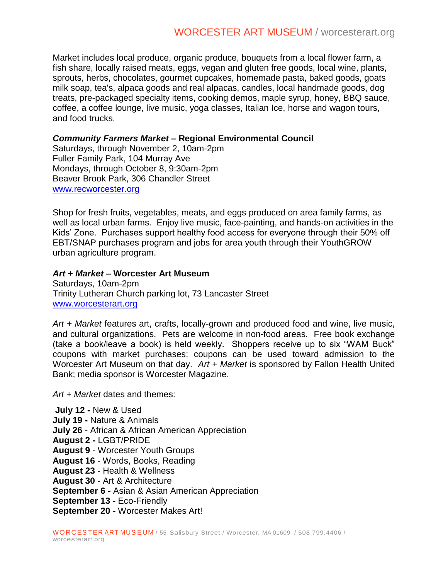Market includes local produce, organic produce, bouquets from a local flower farm, a fish share, locally raised meats, eggs, vegan and gluten free goods, local wine, plants, sprouts, herbs, chocolates, gourmet cupcakes, homemade pasta, baked goods, goats milk soap, tea's, alpaca goods and real alpacas, candles, local handmade goods, dog treats, pre-packaged specialty items, cooking demos, maple syrup, honey, BBQ sauce, coffee, a coffee lounge, live music, yoga classes, Italian Ice, horse and wagon tours, and food trucks.

#### *Community Farmers Market* **– Regional Environmental Council**

Saturdays, through November 2, 10am-2pm Fuller Family Park, 104 Murray Ave Mondays, through October 8, 9:30am-2pm Beaver Brook Park, 306 Chandler Street [www.recworcester.org](http://www.recworcester.org/)

Shop for fresh fruits, vegetables, meats, and eggs produced on area family farms, as well as local urban farms. Enjoy live music, face-painting, and hands-on activities in the Kids' Zone. Purchases support healthy food access for everyone through their 50% off EBT/SNAP purchases program and jobs for area youth through their YouthGROW urban agriculture program.

#### *Art + Market –* **Worcester Art Museum**

Saturdays, 10am-2pm Trinity Lutheran Church parking lot, 73 Lancaster Street <www.worcesterart.org>

*Art + Market* features art, crafts, locally-grown and produced food and wine, live music, and cultural organizations. Pets are welcome in non-food areas. Free book exchange (take a book/leave a book) is held weekly. Shoppers receive up to six "WAM Buck" coupons with market purchases; coupons can be used toward admission to the Worcester Art Museum on that day. *Art + Market* is sponsored by Fallon Health United Bank; media sponsor is Worcester Magazine.

*Art + Market* dates and themes:

**July 12 -** New & Used **July 19 -** Nature & Animals **July 26** - African & African American Appreciation **August 2 -** LGBT/PRIDE **August 9** - Worcester Youth Groups **August 16** - Words, Books, Reading **August 23** - Health & Wellness **August 30** - Art & Architecture **September 6 -** Asian & Asian American Appreciation **September 13** - Eco-Friendly **September 20** - Worcester Makes Art!